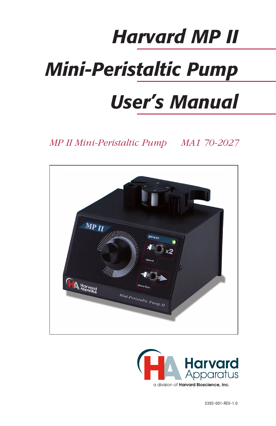# *Harvard MP II Mini-Peristaltic Pump User's Manual*

*MP II Mini-Peristaltic Pump MA1 70-2027*



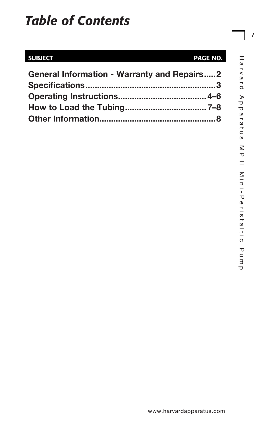# *Table of Contents*

# SUBJECT PAGE NO.

| <b>General Information - Warranty and Repairs2</b> |  |
|----------------------------------------------------|--|
|                                                    |  |
|                                                    |  |
|                                                    |  |
|                                                    |  |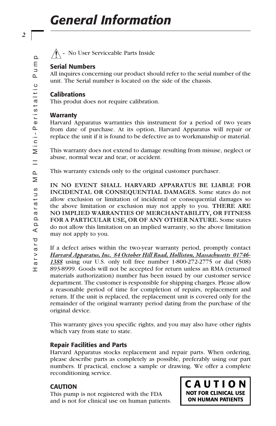**-** No User Serviceable Parts Inside

# Serial Numbers

All inquires concerning our product should refer to the serial number of the unit. The Serial number is located on the side of the chassis.

### **Calibrations**

This produt does not require calibration.

### **Warranty**

Harvard Apparatus warranties this instrument for a period of two years from date of purchase. At its option, Harvard Apparatus will repair or replace the unit if it is found to be defective as to workmanship or material.

This warranty does not extend to damage resulting from misuse, neglect or abuse, normal wear and tear, or accident.

This warranty extends only to the original customer purchaser.

**IN NO EVENT SHALL HARVARD APPARATUS BE LIABLE FOR INCIDENTAL OR CONSEQUENTIAL DAMAGES.** Some states do not allow exclusion or limitation of incidental or consequential damages so the above limitation or exclusion may not apply to you. **THERE ARE NO IMPLIED WARRANTIES OF MERCHANTABILITY, OR FITNESS FOR A PARTICULAR USE, OR OF ANY OTHER NATURE.** Some states do not allow this limitation on an implied warranty, so the above limitation may not apply to you.

If a defect arises within the two-year warranty period, promptly contact *Harvard Apparatus, Inc. 84 October Hill Road, Holliston, Massachusetts 01746- 1388* using our U.S. only toll free number 1-800-272-2775 or dial (508) 893-8999. Goods will not be accepted for return unless an RMA (returned materials authorization) number has been issued by our customer service department. The customer is responsible for shipping charges. Please allow a reasonable period of time for completion of repairs, replacement and return. If the unit is replaced, the replacement unit is covered only for the remainder of the original warranty period dating from the purchase of the original device.

This warranty gives you specific rights, and you may also have other rights which vary from state to state.

# Repair Facilities and Parts

Harvard Apparatus stocks replacement and repair parts. When ordering, please describe parts as completely as possible, preferably using our part numbers. If practical, enclose a sample or drawing. We offer a complete reconditioning service.

# **CAUTION**

This pump is not registered with the FDA and is not for clinical use on human patients. CAUTION **NOT FOR CLINICAL USE ON HUMAN PATIENTS** 

**T**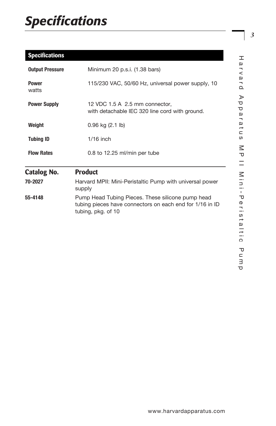# *Specifications*

# **Specifications**

| <b>Output Pressure</b> | Minimum 20 p.s.i. (1.38 bars)                                                                                                       |
|------------------------|-------------------------------------------------------------------------------------------------------------------------------------|
| <b>Power</b><br>watts  | 115/230 VAC, 50/60 Hz, universal power supply, 10                                                                                   |
| <b>Power Supply</b>    | 12 VDC 1.5 A 2.5 mm connector,<br>with detachable IEC 320 line cord with ground.                                                    |
| Weight                 | $0.96$ kg $(2.1)$                                                                                                                   |
| <b>Tubing ID</b>       | $1/16$ inch                                                                                                                         |
| <b>Flow Rates</b>      | 0.8 to 12.25 ml/min per tube                                                                                                        |
| <b>Catalog No.</b>     | <b>Product</b>                                                                                                                      |
| 70-2027                | Harvard MPII: Mini-Peristaltic Pump with universal power<br>supply                                                                  |
| 55-4148                | Pump Head Tubing Pieces. These silicone pump head<br>tubing pieces have connectors on each end for 1/16 in ID<br>tubing, pkg. of 10 |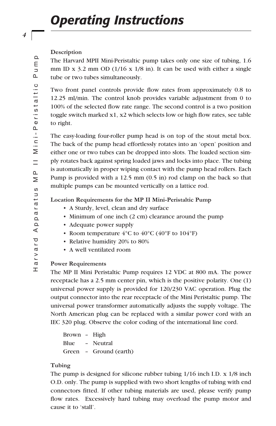#### **Description**

The Harvard MPII Mini-Peristaltic pump takes only one size of tubing, 1.6 mm ID x 3.2 mm OD (1/16 x 1/8 in). It can be used with either a single tube or two tubes simultaneously.

Two front panel controls provide flow rates from approximately 0.8 to 12.25 ml/min. The control knob provides variable adjustment from 0 to 100% of the selected flow rate range. The second control is a two position toggle switch marked x1, x2 which selects low or high flow rates, see table to right.

The easy-loading four-roller pump head is on top of the stout metal box. The back of the pump head effortlessly rotates into an 'open' position and either one or two tubes can be dropped into slots. The loaded section simply rotates back against spring loaded jaws and locks into place. The tubing is automatically in proper wiping contact with the pump head rollers. Each Pump is provided with a 12.5 mm (0.5 in) rod clamp on the back so that multiple pumps can be mounted vertically on a lattice rod.

#### **Location Requirements for the MP II Mini-Peristaltic Pump**

- A Sturdy, level, clean and dry surface
- Minimum of one inch (2 cm) clearance around the pump
- Adequate power supply
- Room temperature  $4^{\circ}$ C to  $40^{\circ}$ C ( $40^{\circ}$ F to  $104^{\circ}$ F)
- Relative humidity 20% to 80%
- A well ventilated room

#### **Power Requirements**

The MP II Mini Peristaltic Pump requires 12 VDC at 800 mA. The power receptacle has a 2.5 mm center pin, which is the positive polarity. One (1) universal power supply is provided for 120/230 VAC operation. Plug the output connector into the rear receptacle of the Mini Peristaltic pump. The universal power transformer automatically adjusts the supply voltage. The North American plug can be replaced with a similar power cord with an IEC 320 plug. Observe the color coding of the international line cord.

```
Brown – High
Blue – Neutral
Green – Ground (earth)
```
#### **Tubing**

The pump is designed for silicone rubber tubing 1/16 inch I.D. x 1/8 inch O.D. only. The pump is supplied with two short lengths of tubing with end connectors fitted. If other tubing materials are used, please verify pump flow rates. Excessively hard tubing may overload the pump motor and cause it to 'stall'.

*4*

 $\Omega$  $\mathsf E$  $\overline{\phantom{a}}$ Δ.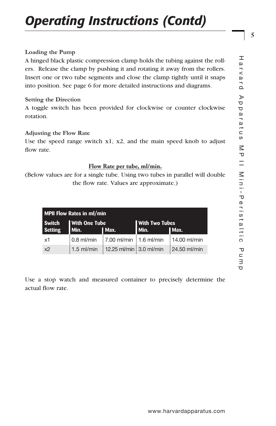# *Operating Instructions (Contd)*

#### **Loading the Pump**

A hinged black plastic compression clamp holds the tubing against the rollers. Release the clamp by pushing it and rotating it away from the rollers. Insert one or two tube segments and close the clamp tightly until it snaps into position. See page 6 for more detailed instructions and diagrams.

#### **Setting the Direction**

A toggle switch has been provided for clockwise or counter clockwise rotation.

#### **Adjusting the Flow Rate**

Use the speed range switch x1, x2, and the main speed knob to adjust flow rate.

#### **Flow Rate per tube, ml/min.**

(Below values are for a single tube. Using two tubes in parallel will double the flow rate. Values are approximate.)

| MPII Flow Rates in ml/min      |               |                                        |        |              |
|--------------------------------|---------------|----------------------------------------|--------|--------------|
| <b>With One Tube</b><br>Switch |               | <b>I</b> With Two Tubes                |        |              |
| <b>Setting</b>                 | Min.          | I Max.                                 | l Min. | I Max.       |
| x1                             | $\log$ ml/min | $\vert$ 7.00 ml/min $\vert$ 1.6 ml/min |        | 14.00 ml/min |
| x <sub>2</sub>                 | $1.5$ ml/min  | 12.25 ml/min 3.0 ml/min                |        | 24.50 ml/min |

Use a stop watch and measured container to precisely determine the actual flow rate.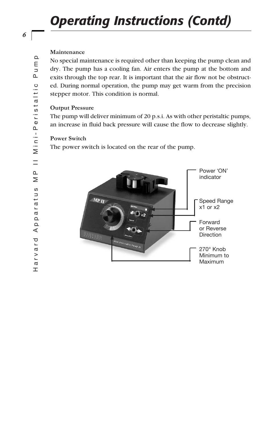# *Operating Instructions (Contd)*

#### **Maintenance**

No special maintenance is required other than keeping the pump clean and dry. The pump has a cooling fan. Air enters the pump at the bottom and exits through the top rear. It is important that the air flow not be obstructed. During normal operation, the pump may get warm from the precision stepper motor. This condition is normal.

#### **Output Pressure**

The pump will deliver minimum of 20 p.s.i. As with other peristaltic pumps, an increase in fluid back pressure will cause the flow to decrease slightly.

#### **Power Switch**

The power switch is located on the rear of the pump.



*6*

 $\Omega$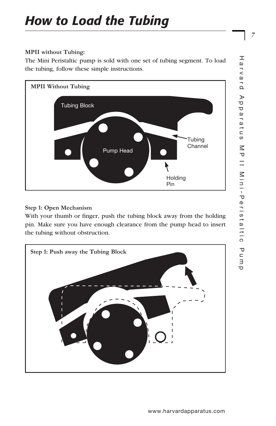#### **MPII without Tubing:**

The Mini Peristaltic pump is sold with one set of tubing segment. To load the tubing, follow these simple instructions.



# **Step 1: Open Mechanism**

With your thumb or finger, push the tubing block away from the holding pin. Make sure you have enough clearance from the pump head to insert the tubing without obstruction.

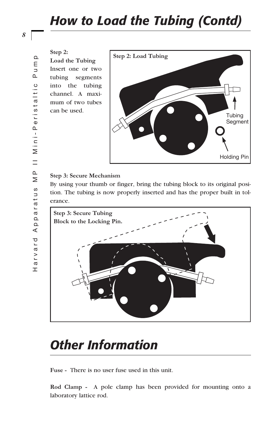**Step 2:** 

**Load the Tubing** Insert one or two tubing segments into the tubing channel. A maximum of two tubes can be used.



#### **Step 3: Secure Mechanism**

By using your thumb or finger, bring the tubing block to its original position. The tubing is now properly inserted and has the proper built in tolerance.



# *Other Information*

**Fuse -** There is no user fuse used in this unit.

**Rod Clamp -** A pole clamp has been provided for mounting onto a laboratory lattice rod.